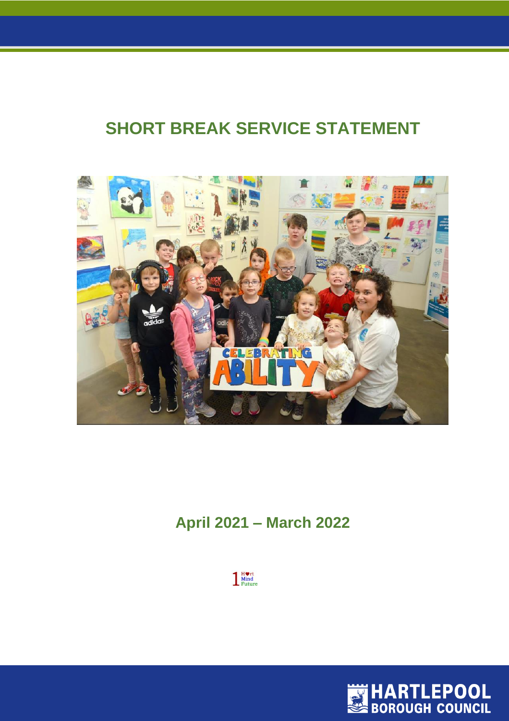# **SHORT BREAK SERVICE STATEMENT**



# **April 2021 – March 2022**



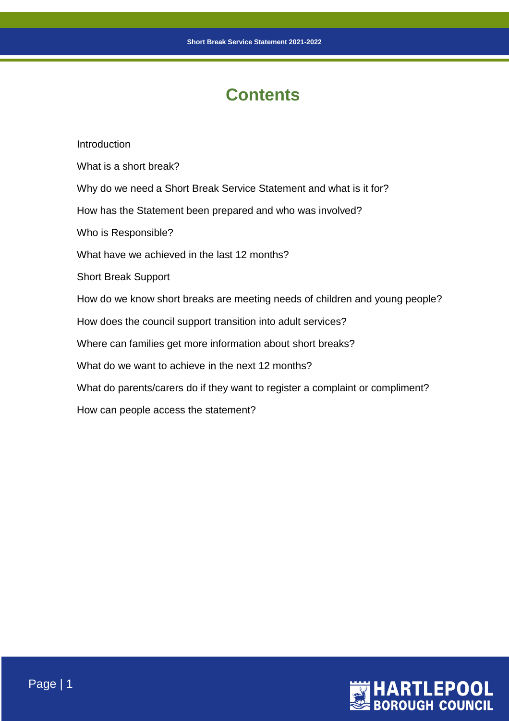# **Contents**

**Introduction** What is a short break? Why do we need a Short Break Service Statement and what is it for? How has the Statement been prepared and who was involved? Who is Responsible? What have we achieved in the last 12 months? Short Break Support How do we know short breaks are meeting needs of children and young people? How does the council support transition into adult services? Where can families get more information about short breaks? What do we want to achieve in the next 12 months? What do parents/carers do if they want to register a complaint or compliment? How can people access the statement?

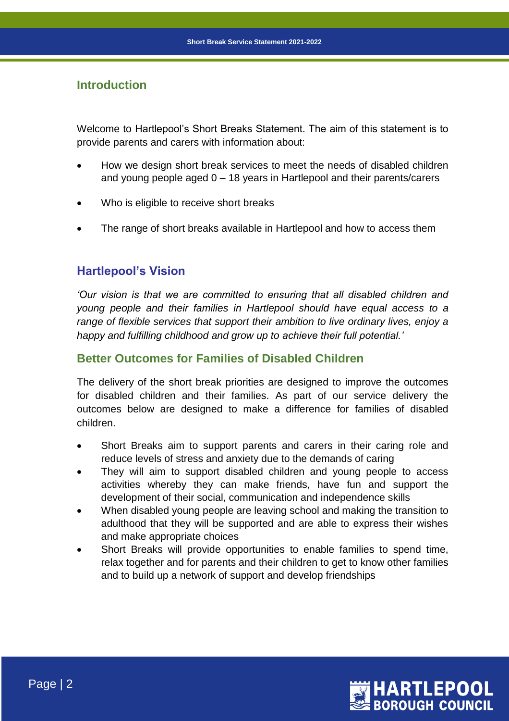## **Introduction**

Welcome to Hartlepool's Short Breaks Statement. The aim of this statement is to provide parents and carers with information about:

- How we design short break services to meet the needs of disabled children and young people aged 0 – 18 years in Hartlepool and their parents/carers
- Who is eligible to receive short breaks
- The range of short breaks available in Hartlepool and how to access them

## **Hartlepool's Vision**

*'Our vision is that we are committed to ensuring that all disabled children and young people and their families in Hartlepool should have equal access to a range of flexible services that support their ambition to live ordinary lives, enjoy a happy and fulfilling childhood and grow up to achieve their full potential.'*

## **Better Outcomes for Families of Disabled Children**

The delivery of the short break priorities are designed to improve the outcomes for disabled children and their families. As part of our service delivery the outcomes below are designed to make a difference for families of disabled children.

- Short Breaks aim to support parents and carers in their caring role and reduce levels of stress and anxiety due to the demands of caring
- They will aim to support disabled children and young people to access activities whereby they can make friends, have fun and support the development of their social, communication and independence skills
- When disabled young people are leaving school and making the transition to adulthood that they will be supported and are able to express their wishes and make appropriate choices
- Short Breaks will provide opportunities to enable families to spend time, relax together and for parents and their children to get to know other families and to build up a network of support and develop friendships

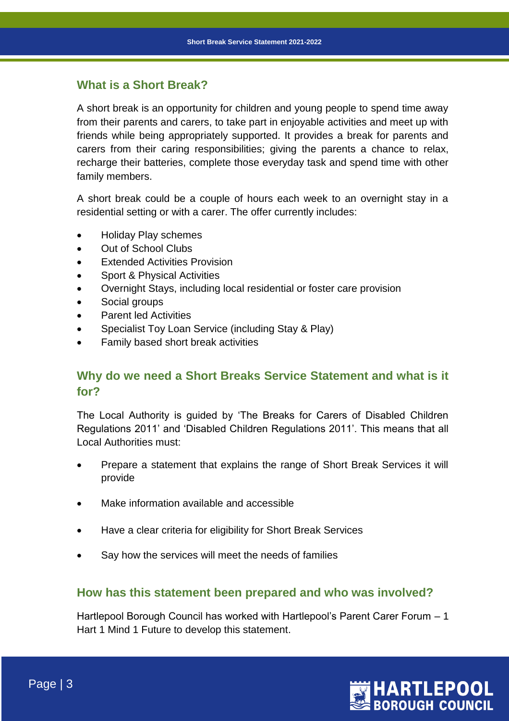## **What is a Short Break?**

A short break is an opportunity for children and young people to spend time away from their parents and carers, to take part in enjoyable activities and meet up with friends while being appropriately supported. It provides a break for parents and carers from their caring responsibilities; giving the parents a chance to relax, recharge their batteries, complete those everyday task and spend time with other family members.

A short break could be a couple of hours each week to an overnight stay in a residential setting or with a carer. The offer currently includes:

- Holiday Play schemes
- Out of School Clubs
- Extended Activities Provision
- Sport & Physical Activities
- Overnight Stays, including local residential or foster care provision
- Social groups
- Parent led Activities
- Specialist Toy Loan Service (including Stay & Play)
- Family based short break activities

## **Why do we need a Short Breaks Service Statement and what is it for?**

The Local Authority is guided by 'The Breaks for Carers of Disabled Children Regulations 2011' and 'Disabled Children Regulations 2011'. This means that all Local Authorities must:

- Prepare a statement that explains the range of Short Break Services it will provide
- Make information available and accessible
- Have a clear criteria for eligibility for Short Break Services
- Say how the services will meet the needs of families

## **How has this statement been prepared and who was involved?**

Hartlepool Borough Council has worked with Hartlepool's Parent Carer Forum – 1 Hart 1 Mind 1 Future to develop this statement.

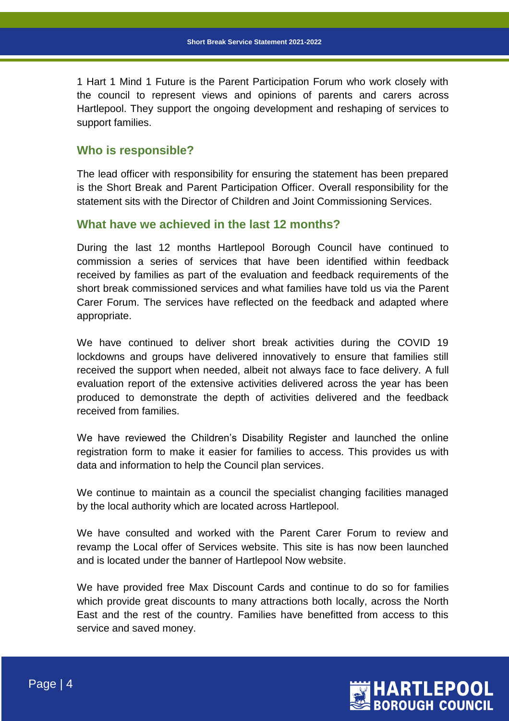1 Hart 1 Mind 1 Future is the Parent Participation Forum who work closely with the council to represent views and opinions of parents and carers across Hartlepool. They support the ongoing development and reshaping of services to support families.

## **Who is responsible?**

The lead officer with responsibility for ensuring the statement has been prepared is the Short Break and Parent Participation Officer. Overall responsibility for the statement sits with the Director of Children and Joint Commissioning Services.

## **What have we achieved in the last 12 months?**

During the last 12 months Hartlepool Borough Council have continued to commission a series of services that have been identified within feedback received by families as part of the evaluation and feedback requirements of the short break commissioned services and what families have told us via the Parent Carer Forum. The services have reflected on the feedback and adapted where appropriate.

We have continued to deliver short break activities during the COVID 19 lockdowns and groups have delivered innovatively to ensure that families still received the support when needed, albeit not always face to face delivery. A full evaluation report of the extensive activities delivered across the year has been produced to demonstrate the depth of activities delivered and the feedback received from families.

We have reviewed the Children's Disability Register and launched the online registration form to make it easier for families to access. This provides us with data and information to help the Council plan services.

We continue to maintain as a council the specialist changing facilities managed by the local authority which are located across Hartlepool.

We have consulted and worked with the Parent Carer Forum to review and revamp the Local offer of Services website. This site is has now been launched and is located under the banner of Hartlepool Now website.

We have provided free Max Discount Cards and continue to do so for families which provide great discounts to many attractions both locally, across the North East and the rest of the country. Families have benefitted from access to this service and saved money.

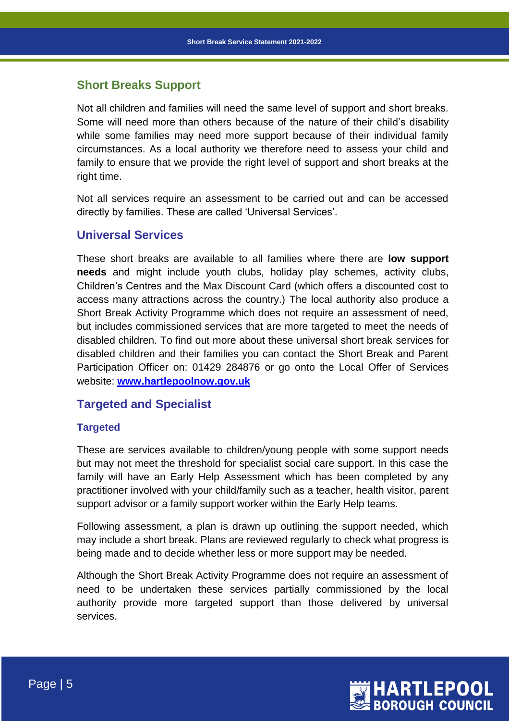## **Short Breaks Support**

Not all children and families will need the same level of support and short breaks. Some will need more than others because of the nature of their child's disability while some families may need more support because of their individual family circumstances. As a local authority we therefore need to assess your child and family to ensure that we provide the right level of support and short breaks at the right time.

Not all services require an assessment to be carried out and can be accessed directly by families. These are called 'Universal Services'.

## **Universal Services**

These short breaks are available to all families where there are **low support needs** and might include youth clubs, holiday play schemes, activity clubs, Children's Centres and the Max Discount Card (which offers a discounted cost to access many attractions across the country.) The local authority also produce a Short Break Activity Programme which does not require an assessment of need, but includes commissioned services that are more targeted to meet the needs of disabled children. To find out more about these universal short break services for disabled children and their families you can contact the Short Break and Parent Participation Officer on: 01429 284876 or go onto the Local Offer of Services website: **www.hartlepoolnow.gov.uk**

## **Targeted and Specialist**

#### **Targeted**

These are services available to children/young people with some support needs but may not meet the threshold for specialist social care support. In this case the family will have an Early Help Assessment which has been completed by any practitioner involved with your child/family such as a teacher, health visitor, parent support advisor or a family support worker within the Early Help teams.

Following assessment, a plan is drawn up outlining the support needed, which may include a short break. Plans are reviewed regularly to check what progress is being made and to decide whether less or more support may be needed.

Although the Short Break Activity Programme does not require an assessment of need to be undertaken these services partially commissioned by the local authority provide more targeted support than those delivered by universal services.

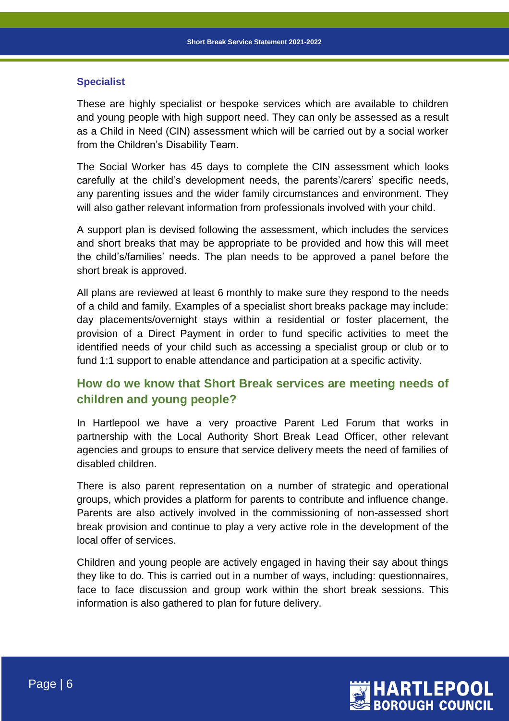#### **Specialist**

These are highly specialist or bespoke services which are available to children and young people with high support need. They can only be assessed as a result as a Child in Need (CIN) assessment which will be carried out by a social worker from the Children's Disability Team.

The Social Worker has 45 days to complete the CIN assessment which looks carefully at the child's development needs, the parents'/carers' specific needs, any parenting issues and the wider family circumstances and environment. They will also gather relevant information from professionals involved with your child.

A support plan is devised following the assessment, which includes the services and short breaks that may be appropriate to be provided and how this will meet the child's/families' needs. The plan needs to be approved a panel before the short break is approved.

All plans are reviewed at least 6 monthly to make sure they respond to the needs of a child and family. Examples of a specialist short breaks package may include: day placements/overnight stays within a residential or foster placement, the provision of a Direct Payment in order to fund specific activities to meet the identified needs of your child such as accessing a specialist group or club or to fund 1:1 support to enable attendance and participation at a specific activity.

## **How do we know that Short Break services are meeting needs of children and young people?**

In Hartlepool we have a very proactive Parent Led Forum that works in partnership with the Local Authority Short Break Lead Officer, other relevant agencies and groups to ensure that service delivery meets the need of families of disabled children.

There is also parent representation on a number of strategic and operational groups, which provides a platform for parents to contribute and influence change. Parents are also actively involved in the commissioning of non-assessed short break provision and continue to play a very active role in the development of the local offer of services.

Children and young people are actively engaged in having their say about things they like to do. This is carried out in a number of ways, including: questionnaires, face to face discussion and group work within the short break sessions. This information is also gathered to plan for future delivery.

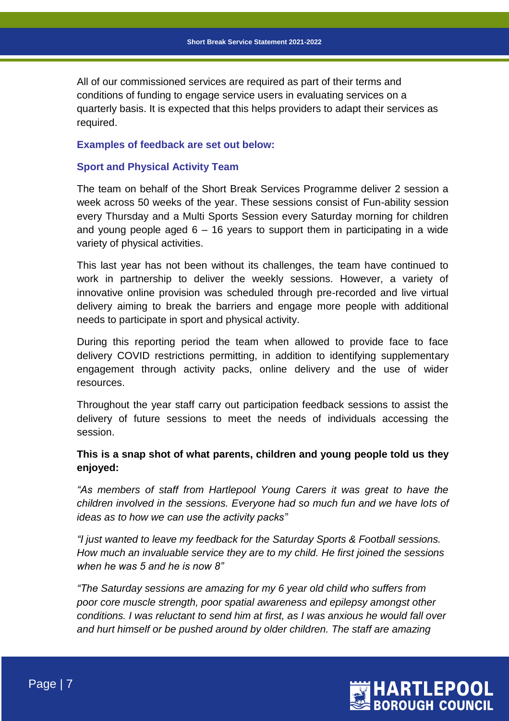All of our commissioned services are required as part of their terms and conditions of funding to engage service users in evaluating services on a quarterly basis. It is expected that this helps providers to adapt their services as required.

#### **Examples of feedback are set out below:**

#### **Sport and Physical Activity Team**

The team on behalf of the Short Break Services Programme deliver 2 session a week across 50 weeks of the year. These sessions consist of Fun-ability session every Thursday and a Multi Sports Session every Saturday morning for children and young people aged  $6 - 16$  years to support them in participating in a wide variety of physical activities.

This last year has not been without its challenges, the team have continued to work in partnership to deliver the weekly sessions. However, a variety of innovative online provision was scheduled through pre-recorded and live virtual delivery aiming to break the barriers and engage more people with additional needs to participate in sport and physical activity.

During this reporting period the team when allowed to provide face to face delivery COVID restrictions permitting, in addition to identifying supplementary engagement through activity packs, online delivery and the use of wider resources.

Throughout the year staff carry out participation feedback sessions to assist the delivery of future sessions to meet the needs of individuals accessing the session.

## **This is a snap shot of what parents, children and young people told us they enjoyed:**

*"As members of staff from Hartlepool Young Carers it was great to have the children involved in the sessions. Everyone had so much fun and we have lots of ideas as to how we can use the activity packs"*

*"I just wanted to leave my feedback for the Saturday Sports & Football sessions. How much an invaluable service they are to my child. He first joined the sessions when he was 5 and he is now 8"*

*"The Saturday sessions are amazing for my 6 year old child who suffers from poor core muscle strength, poor spatial awareness and epilepsy amongst other conditions. I was reluctant to send him at first, as I was anxious he would fall over and hurt himself or be pushed around by older children. The staff are amazing*

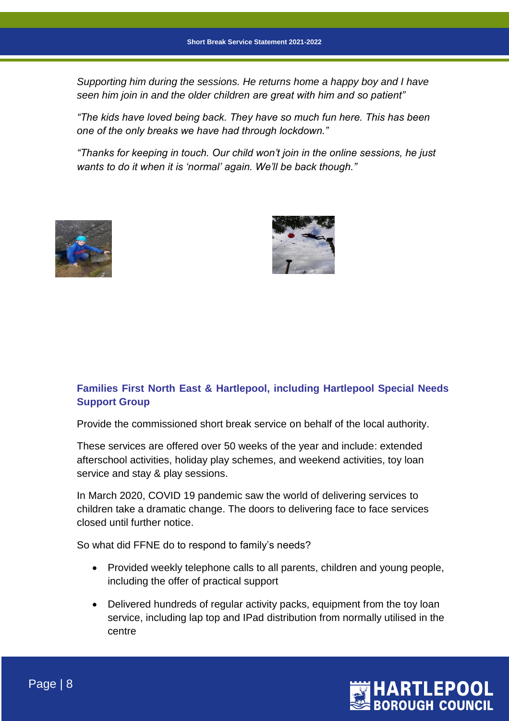*Supporting him during the sessions. He returns home a happy boy and I have seen him join in and the older children are great with him and so patient"*

*"The kids have loved being back. They have so much fun here. This has been one of the only breaks we have had through lockdown."*

*"Thanks for keeping in touch. Our child won't join in the online sessions, he just wants to do it when it is 'normal' again. We'll be back though."*





## **Families First North East & Hartlepool, including Hartlepool Special Needs Support Group**

Provide the commissioned short break service on behalf of the local authority.

These services are offered over 50 weeks of the year and include: extended afterschool activities, holiday play schemes, and weekend activities, toy loan service and stay & play sessions.

In March 2020, COVID 19 pandemic saw the world of delivering services to children take a dramatic change. The doors to delivering face to face services closed until further notice.

So what did FFNE do to respond to family's needs?

- Provided weekly telephone calls to all parents, children and young people, including the offer of practical support
- Delivered hundreds of regular activity packs, equipment from the toy loan service, including lap top and IPad distribution from normally utilised in the centre

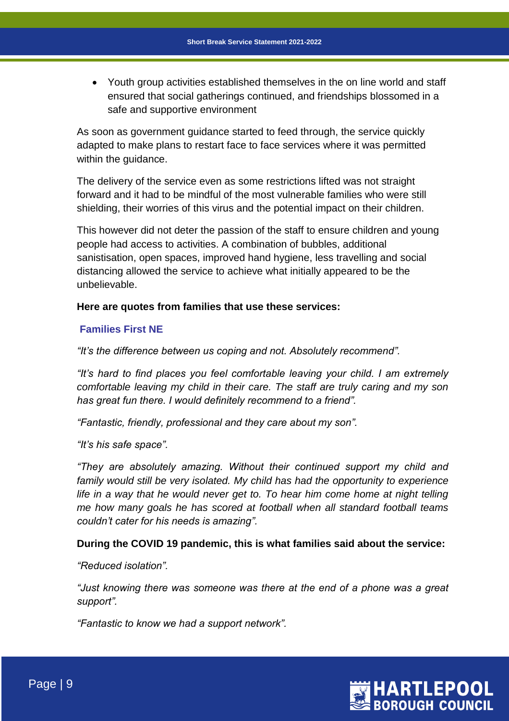Youth group activities established themselves in the on line world and staff ensured that social gatherings continued, and friendships blossomed in a safe and supportive environment

As soon as government guidance started to feed through, the service quickly adapted to make plans to restart face to face services where it was permitted within the guidance.

The delivery of the service even as some restrictions lifted was not straight forward and it had to be mindful of the most vulnerable families who were still shielding, their worries of this virus and the potential impact on their children.

This however did not deter the passion of the staff to ensure children and young people had access to activities. A combination of bubbles, additional sanistisation, open spaces, improved hand hygiene, less travelling and social distancing allowed the service to achieve what initially appeared to be the unbelievable.

#### **Here are quotes from families that use these services:**

#### **Families First NE**

*"It's the difference between us coping and not. Absolutely recommend".*

*"It's hard to find places you feel comfortable leaving your child. I am extremely comfortable leaving my child in their care. The staff are truly caring and my son has great fun there. I would definitely recommend to a friend".*

*"Fantastic, friendly, professional and they care about my son".*

*"It's his safe space".*

*"They are absolutely amazing. Without their continued support my child and family would still be very isolated. My child has had the opportunity to experience life in a way that he would never get to. To hear him come home at night telling me how many goals he has scored at football when all standard football teams couldn't cater for his needs is amazing".*

#### **During the COVID 19 pandemic, this is what families said about the service:**

*"Reduced isolation".*

*"Just knowing there was someone was there at the end of a phone was a great support".*

*"Fantastic to know we had a support network".*

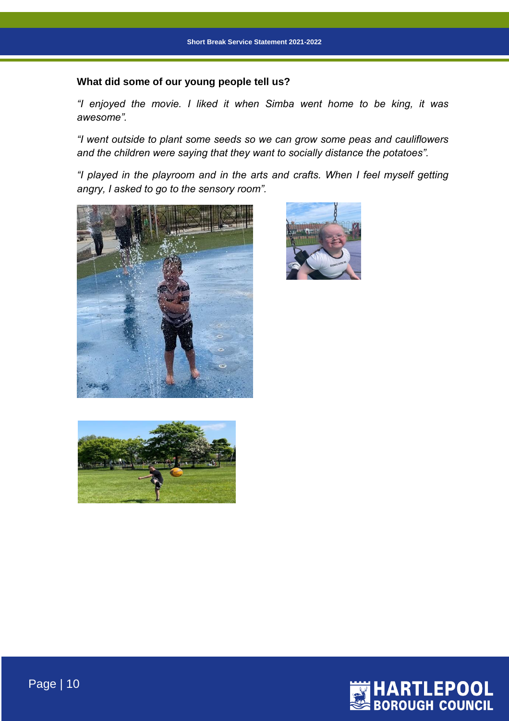## **What did some of our young people tell us?**

*"I enjoyed the movie. I liked it when Simba went home to be king, it was awesome".*

*"I went outside to plant some seeds so we can grow some peas and cauliflowers and the children were saying that they want to socially distance the potatoes".*

*"I played in the playroom and in the arts and crafts. When I feel myself getting angry, I asked to go to the sensory room".*









Page | 10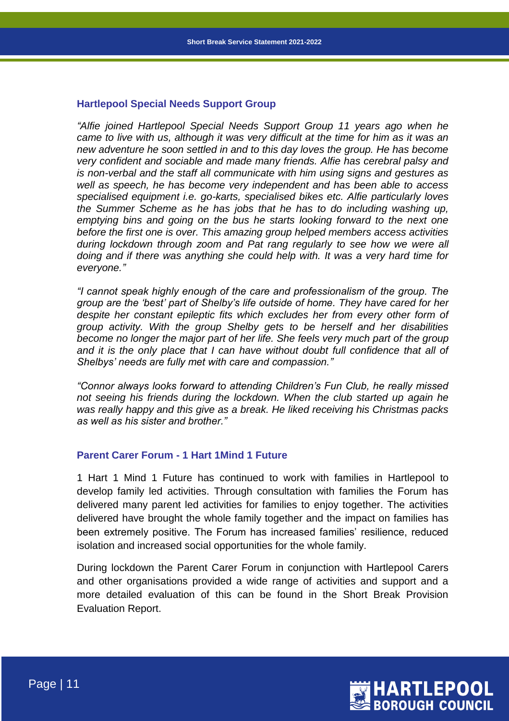#### **Hartlepool Special Needs Support Group**

*"Alfie joined Hartlepool Special Needs Support Group 11 years ago when he came to live with us, although it was very difficult at the time for him as it was an new adventure he soon settled in and to this day loves the group. He has become very confident and sociable and made many friends. Alfie has cerebral palsy and is non-verbal and the staff all communicate with him using signs and gestures as well as speech, he has become very independent and has been able to access specialised equipment i.e. go-karts, specialised bikes etc. Alfie particularly loves the Summer Scheme as he has jobs that he has to do including washing up, emptying bins and going on the bus he starts looking forward to the next one before the first one is over. This amazing group helped members access activities during lockdown through zoom and Pat rang regularly to see how we were all doing and if there was anything she could help with. It was a very hard time for everyone."*

*"I cannot speak highly enough of the care and professionalism of the group. The group are the 'best' part of Shelby's life outside of home. They have cared for her despite her constant epileptic fits which excludes her from every other form of group activity. With the group Shelby gets to be herself and her disabilities become no longer the major part of her life. She feels very much part of the group and it is the only place that I can have without doubt full confidence that all of Shelbys' needs are fully met with care and compassion."*

*"Connor always looks forward to attending Children's Fun Club, he really missed not seeing his friends during the lockdown. When the club started up again he was really happy and this give as a break. He liked receiving his Christmas packs as well as his sister and brother."*

#### **Parent Carer Forum - 1 Hart 1Mind 1 Future**

1 Hart 1 Mind 1 Future has continued to work with families in Hartlepool to develop family led activities. Through consultation with families the Forum has delivered many parent led activities for families to enjoy together. The activities delivered have brought the whole family together and the impact on families has been extremely positive. The Forum has increased families' resilience, reduced isolation and increased social opportunities for the whole family.

During lockdown the Parent Carer Forum in conjunction with Hartlepool Carers and other organisations provided a wide range of activities and support and a more detailed evaluation of this can be found in the Short Break Provision Evaluation Report.

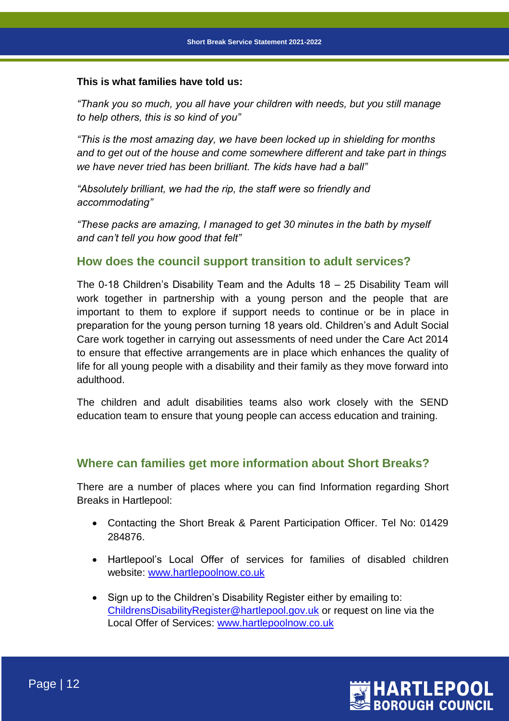#### **This is what families have told us:**

*"Thank you so much, you all have your children with needs, but you still manage to help others, this is so kind of you"*

*"This is the most amazing day, we have been locked up in shielding for months and to get out of the house and come somewhere different and take part in things we have never tried has been brilliant. The kids have had a ball"*

*"Absolutely brilliant, we had the rip, the staff were so friendly and accommodating"*

*"These packs are amazing, I managed to get 30 minutes in the bath by myself and can't tell you how good that felt"*

## **How does the council support transition to adult services?**

The 0-18 Children's Disability Team and the Adults 18 – 25 Disability Team will work together in partnership with a young person and the people that are important to them to explore if support needs to continue or be in place in preparation for the young person turning 18 years old. Children's and Adult Social Care work together in carrying out assessments of need under the Care Act 2014 to ensure that effective arrangements are in place which enhances the quality of life for all young people with a disability and their family as they move forward into adulthood.

The children and adult disabilities teams also work closely with the SEND education team to ensure that young people can access education and training.

## **Where can families get more information about Short Breaks?**

There are a number of places where you can find Information regarding Short Breaks in Hartlepool:

- Contacting the Short Break & Parent Participation Officer. Tel No: 01429 284876.
- Hartlepool's Local Offer of services for families of disabled children website: [www.hartlepoolnow.co.uk](http://www.hartlepoolnow.co.uk/)
- Sign up to the Children's Disability Register either by emailing to: [ChildrensDisabilityRegister@hartlepool.gov.uk](mailto:ChildrensDisabilityRegister@hartlepool.gov.uk) or request on line via the Local Offer of Services: [www.hartlepoolnow.co.uk](http://www.hartlepoolnow.co.uk/)

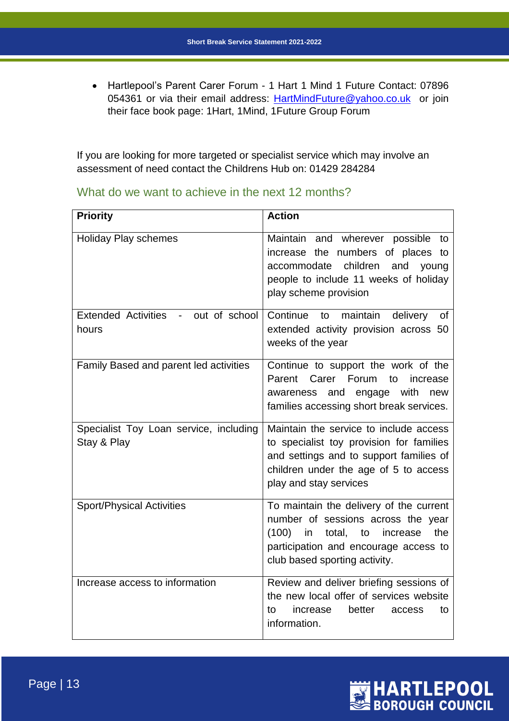Hartlepool's Parent Carer Forum - 1 Hart 1 Mind 1 Future Contact: 07896 054361 or via their email address: **HartMindFuture@yahoo.co.uk** or join their face book page: 1Hart, 1Mind, 1Future Group Forum

If you are looking for more targeted or specialist service which may involve an assessment of need contact the Childrens Hub on: 01429 284284

What do we want to achieve in the next 12 months?

| <b>Priority</b>                                                                  | <b>Action</b>                                                                                                                                                                                          |
|----------------------------------------------------------------------------------|--------------------------------------------------------------------------------------------------------------------------------------------------------------------------------------------------------|
| <b>Holiday Play schemes</b>                                                      | Maintain and wherever possible to<br>increase the numbers of places to<br>children<br>accommodate<br>and<br>young<br>people to include 11 weeks of holiday<br>play scheme provision                    |
| <b>Extended Activities</b><br>out of school<br>$\overline{\phantom{a}}$<br>hours | Continue<br>maintain<br>delivery<br>to<br>0f<br>extended activity provision across 50<br>weeks of the year                                                                                             |
| Family Based and parent led activities                                           | Continue to support the work of the<br>Parent<br>Carer<br>Forum<br>to<br>increase<br>with<br>and<br>engage<br>awareness<br>new<br>families accessing short break services.                             |
| Specialist Toy Loan service, including<br>Stay & Play                            | Maintain the service to include access<br>to specialist toy provision for families<br>and settings and to support families of<br>children under the age of 5 to access<br>play and stay services       |
| <b>Sport/Physical Activities</b>                                                 | To maintain the delivery of the current<br>number of sessions across the year<br>the<br>(100)<br>in<br>total, to<br>increase<br>participation and encourage access to<br>club based sporting activity. |
| Increase access to information                                                   | Review and deliver briefing sessions of<br>the new local offer of services website<br>better<br>increase<br>to<br>to<br>access<br>information.                                                         |

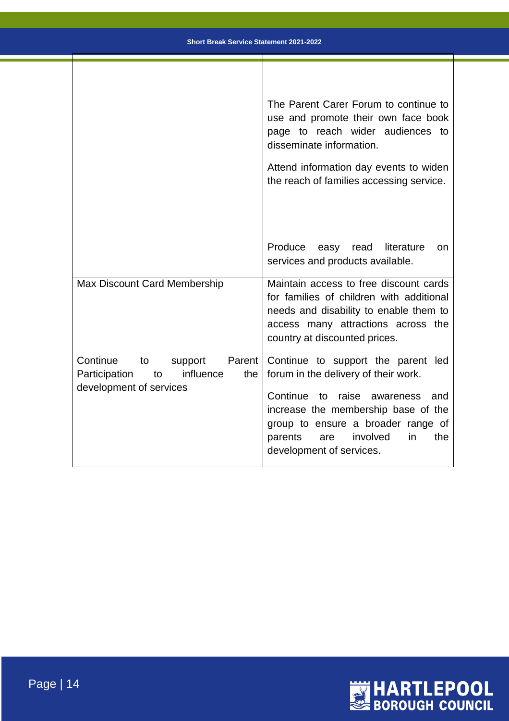|                                                                                                           | The Parent Carer Forum to continue to<br>use and promote their own face book<br>page to reach wider audiences to<br>disseminate information.                                                                                                                            |
|-----------------------------------------------------------------------------------------------------------|-------------------------------------------------------------------------------------------------------------------------------------------------------------------------------------------------------------------------------------------------------------------------|
|                                                                                                           | Attend information day events to widen<br>the reach of families accessing service.                                                                                                                                                                                      |
|                                                                                                           | Produce<br>read<br>literature<br>easy<br><b>on</b><br>services and products available.                                                                                                                                                                                  |
| <b>Max Discount Card Membership</b>                                                                       | Maintain access to free discount cards<br>for families of children with additional<br>needs and disability to enable them to<br>access many attractions across the<br>country at discounted prices.                                                                     |
| Continue<br>to<br>Parent<br>support<br>influence<br>Participation<br>to<br>the<br>development of services | Continue to support the parent led<br>forum in the delivery of their work.<br>Continue to raise<br>awareness<br>and<br>increase the membership base of the<br>group to ensure a broader range of<br>involved<br>in<br>the<br>parents<br>are<br>development of services. |